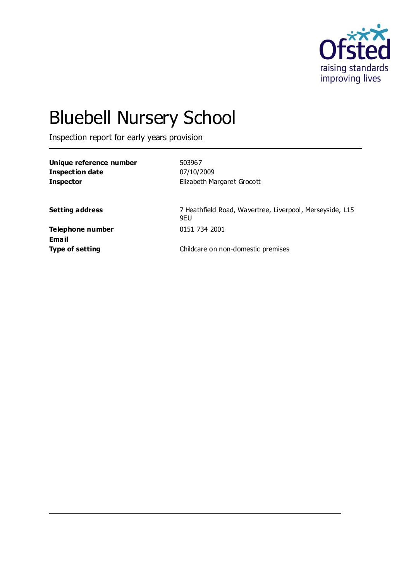

# Bluebell Nursery School

Inspection report for early years provision

| Unique reference number | 503967                                                           |
|-------------------------|------------------------------------------------------------------|
| Inspection date         | 07/10/2009                                                       |
| <b>Inspector</b>        | Elizabeth Margaret Grocott                                       |
|                         |                                                                  |
| <b>Setting address</b>  | 7 Heathfield Road, Wavertree, Liverpool, Merseyside, L15<br>9EU. |
| Telephone number        | 0151 734 2001                                                    |
| Email                   |                                                                  |
| <b>Type of setting</b>  | Childcare on non-domestic premises                               |
|                         |                                                                  |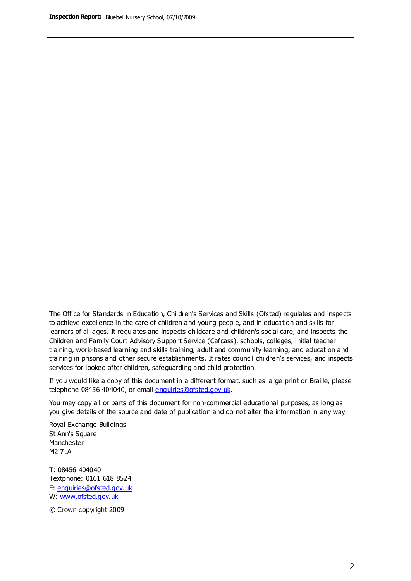The Office for Standards in Education, Children's Services and Skills (Ofsted) regulates and inspects to achieve excellence in the care of children and young people, and in education and skills for learners of all ages. It regulates and inspects childcare and children's social care, and inspects the Children and Family Court Advisory Support Service (Cafcass), schools, colleges, initial teacher training, work-based learning and skills training, adult and community learning, and education and training in prisons and other secure establishments. It rates council children's services, and inspects services for looked after children, safeguarding and child protection.

If you would like a copy of this document in a different format, such as large print or Braille, please telephone 08456 404040, or email enquiries@ofsted.gov.uk.

You may copy all or parts of this document for non-commercial educational purposes, as long as you give details of the source and date of publication and do not alter the information in any way.

Royal Exchange Buildings St Ann's Square Manchester M2 7LA

T: 08456 404040 Textphone: 0161 618 8524 E: enquiries@ofsted.gov.uk W: [www.ofsted.gov.uk](http://www.ofsted.gov.uk/)

© Crown copyright 2009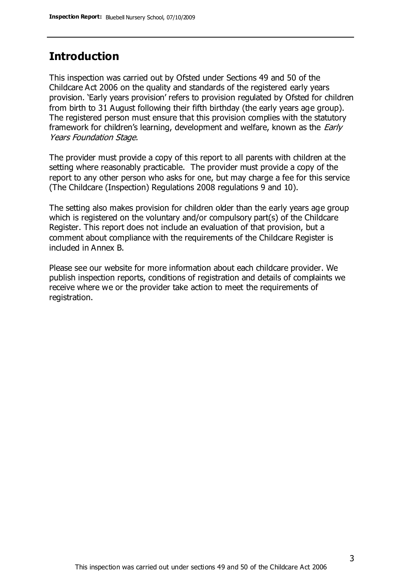## **Introduction**

This inspection was carried out by Ofsted under Sections 49 and 50 of the Childcare Act 2006 on the quality and standards of the registered early years provision. 'Early years provision' refers to provision regulated by Ofsted for children from birth to 31 August following their fifth birthday (the early years age group). The registered person must ensure that this provision complies with the statutory framework for children's learning, development and welfare, known as the *Early* Years Foundation Stage.

The provider must provide a copy of this report to all parents with children at the setting where reasonably practicable. The provider must provide a copy of the report to any other person who asks for one, but may charge a fee for this service (The Childcare (Inspection) Regulations 2008 regulations 9 and 10).

The setting also makes provision for children older than the early years age group which is registered on the voluntary and/or compulsory part(s) of the Childcare Register. This report does not include an evaluation of that provision, but a comment about compliance with the requirements of the Childcare Register is included in Annex B.

Please see our website for more information about each childcare provider. We publish inspection reports, conditions of registration and details of complaints we receive where we or the provider take action to meet the requirements of registration.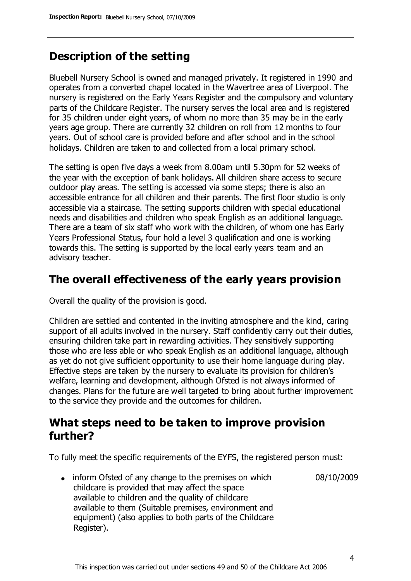## **Description of the setting**

Bluebell Nursery School is owned and managed privately. It registered in 1990 and operates from a converted chapel located in the Wavertree area of Liverpool. The nursery is registered on the Early Years Register and the compulsory and voluntary parts of the Childcare Register. The nursery serves the local area and is registered for 35 children under eight years, of whom no more than 35 may be in the early years age group. There are currently 32 children on roll from 12 months to four years. Out of school care is provided before and after school and in the school holidays. Children are taken to and collected from a local primary school.

The setting is open five days a week from 8.00am until 5.30pm for 52 weeks of the year with the exception of bank holidays. All children share access to secure outdoor play areas. The setting is accessed via some steps; there is also an accessible entrance for all children and their parents. The first floor studio is only accessible via a staircase. The setting supports children with special educational needs and disabilities and children who speak English as an additional language. There are a team of six staff who work with the children, of whom one has Early Years Professional Status, four hold a level 3 qualification and one is working towards this. The setting is supported by the local early years team and an advisory teacher.

## **The overall effectiveness of the early years provision**

Overall the quality of the provision is good.

Children are settled and contented in the inviting atmosphere and the kind, caring support of all adults involved in the nursery. Staff confidently carry out their duties, ensuring children take part in rewarding activities. They sensitively supporting those who are less able or who speak English as an additional language, although as yet do not give sufficient opportunity to use their home language during play. Effective steps are taken by the nursery to evaluate its provision for children's welfare, learning and development, although Ofsted is not always informed of changes. Plans for the future are well targeted to bring about further improvement to the service they provide and the outcomes for children.

## **What steps need to be taken to improve provision further?**

To fully meet the specific requirements of the EYFS, the registered person must:

• inform Ofsted of any change to the premises on which childcare is provided that may affect the space available to children and the quality of childcare available to them (Suitable premises, environment and equipment) (also applies to both parts of the Childcare Register). 08/10/2009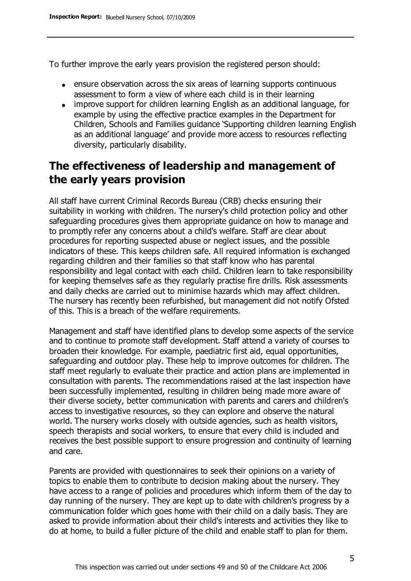To further improve the early years provision the registered person should:

- ensure observation across the six areas of learning supports continuous assessment to form a view of where each child is in their learning
- improve support for children learning English as an additional language, for example by using the effective practice examples in the Department for Children, Schools and Families guidance 'Supporting children learning English as an additional language' and provide more access to resources reflecting diversity, particularly disability.

## **The effectiveness of leadership and management of the early years provision**

All staff have current Criminal Records Bureau (CRB) checks ensuring their suitability in working with children. The nursery's child protection policy and other safeguarding procedures gives them appropriate guidance on how to manage and to promptly refer any concerns about a child's welfare. Staff are clear about procedures for reporting suspected abuse or neglect issues, and the possible indicators of these. This keeps children safe. All required information is exchanged regarding children and their families so that staff know who has parental responsibility and legal contact with each child. Children learn to take responsibility for keeping themselves safe as they regularly practise fire drills. Risk assessments and daily checks are carried out to minimise hazards which may affect children. The nursery has recently been refurbished, but management did not notify Ofsted of this. This is a breach of the welfare requirements.

Management and staff have identified plans to develop some aspects of the service and to continue to promote staff development. Staff attend a variety of courses to broaden their knowledge. For example, paediatric first aid, equal opportunities, safeguarding and outdoor play. These help to improve outcomes for children. The staff meet regularly to evaluate their practice and action plans are implemented in consultation with parents. The recommendations raised at the last inspection have been successfully implemented, resulting in children being made more aware of their diverse society, better communication with parents and carers and children's access to investigative resources, so they can explore and observe the natural world. The nursery works closely with outside agencies, such as health visitors, speech therapists and social workers, to ensure that every child is included and receives the best possible support to ensure progression and continuity of learning and care.

Parents are provided with questionnaires to seek their opinions on a variety of topics to enable them to contribute to decision making about the nursery. They have access to a range of policies and procedures which inform them of the day to day running of the nursery. They are kept up to date with children's progress by a communication folder which goes home with their child on a daily basis. They are asked to provide information about their child's interests and activities they like to do at home, to build a fuller picture of the child and enable staff to plan for them.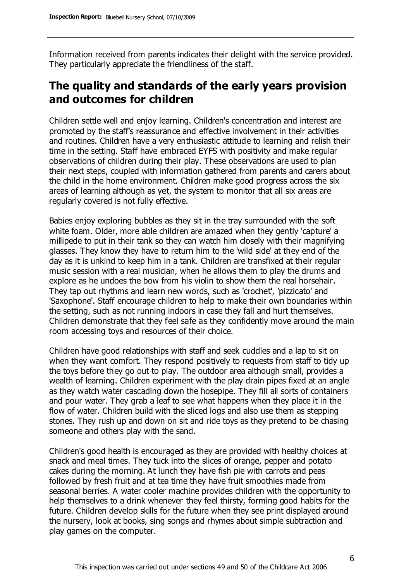Information received from parents indicates their delight with the service provided. They particularly appreciate the friendliness of the staff.

# **The quality and standards of the early years provision and outcomes for children**

Children settle well and enjoy learning. Children's concentration and interest are promoted by the staff's reassurance and effective involvement in their activities and routines. Children have a very enthusiastic attitude to learning and relish their time in the setting. Staff have embraced EYFS with positivity and make regular observations of children during their play. These observations are used to plan their next steps, coupled with information gathered from parents and carers about the child in the home environment. Children make good progress across the six areas of learning although as yet, the system to monitor that all six areas are regularly covered is not fully effective.

Babies enjoy exploring bubbles as they sit in the tray surrounded with the soft white foam. Older, more able children are amazed when they gently 'capture' a millipede to put in their tank so they can watch him closely with their magnifying glasses. They know they have to return him to the 'wild side' at they end of the day as it is unkind to keep him in a tank. Children are transfixed at their regular music session with a real musician, when he allows them to play the drums and explore as he undoes the bow from his violin to show them the real horsehair. They tap out rhythms and learn new words, such as 'crochet', 'pizzicato' and 'Saxophone'. Staff encourage children to help to make their own boundaries within the setting, such as not running indoors in case they fall and hurt themselves. Children demonstrate that they feel safe as they confidently move around the main room accessing toys and resources of their choice.

Children have good relationships with staff and seek cuddles and a lap to sit on when they want comfort. They respond positively to requests from staff to tidy up the toys before they go out to play. The outdoor area although small, provides a wealth of learning. Children experiment with the play drain pipes fixed at an angle as they watch water cascading down the hosepipe. They fill all sorts of containers and pour water. They grab a leaf to see what happens when they place it in the flow of water. Children build with the sliced logs and also use them as stepping stones. They rush up and down on sit and ride toys as they pretend to be chasing someone and others play with the sand.

Children's good health is encouraged as they are provided with healthy choices at snack and meal times. They tuck into the slices of orange, pepper and potato cakes during the morning. At lunch they have fish pie with carrots and peas followed by fresh fruit and at tea time they have fruit smoothies made from seasonal berries. A water cooler machine provides children with the opportunity to help themselves to a drink whenever they feel thirsty, forming good habits for the future. Children develop skills for the future when they see print displayed around the nursery, look at books, sing songs and rhymes about simple subtraction and play games on the computer.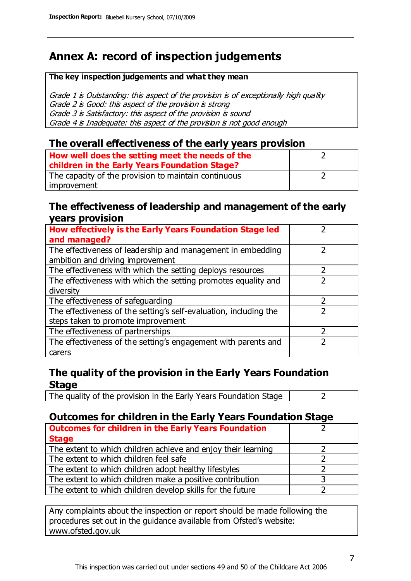# **Annex A: record of inspection judgements**

#### **The key inspection judgements and what they mean**

Grade 1 is Outstanding: this aspect of the provision is of exceptionally high quality Grade 2 is Good: this aspect of the provision is strong Grade 3 is Satisfactory: this aspect of the provision is sound Grade 4 is Inadequate: this aspect of the provision is not good enough

#### **The overall effectiveness of the early years provision**

| How well does the setting meet the needs of the      |  |
|------------------------------------------------------|--|
| children in the Early Years Foundation Stage?        |  |
| The capacity of the provision to maintain continuous |  |
| improvement                                          |  |

#### **The effectiveness of leadership and management of the early years provision**

| How effectively is the Early Years Foundation Stage led                                         |   |
|-------------------------------------------------------------------------------------------------|---|
| and managed?                                                                                    |   |
| The effectiveness of leadership and management in embedding<br>ambition and driving improvement |   |
| The effectiveness with which the setting deploys resources                                      |   |
| The effectiveness with which the setting promotes equality and                                  |   |
| diversity                                                                                       |   |
| The effectiveness of safeguarding                                                               | フ |
| The effectiveness of the setting's self-evaluation, including the                               |   |
| steps taken to promote improvement                                                              |   |
| The effectiveness of partnerships                                                               |   |
| The effectiveness of the setting's engagement with parents and                                  |   |
| carers                                                                                          |   |

### **The quality of the provision in the Early Years Foundation Stage**

The quality of the provision in the Early Years Foundation Stage  $\vert$  2

## **Outcomes for children in the Early Years Foundation Stage**

| <b>Outcomes for children in the Early Years Foundation</b>    |  |
|---------------------------------------------------------------|--|
| <b>Stage</b>                                                  |  |
| The extent to which children achieve and enjoy their learning |  |
| The extent to which children feel safe                        |  |
| The extent to which children adopt healthy lifestyles         |  |
| The extent to which children make a positive contribution     |  |
| The extent to which children develop skills for the future    |  |

Any complaints about the inspection or report should be made following the procedures set out in the guidance available from Ofsted's website: www.ofsted.gov.uk